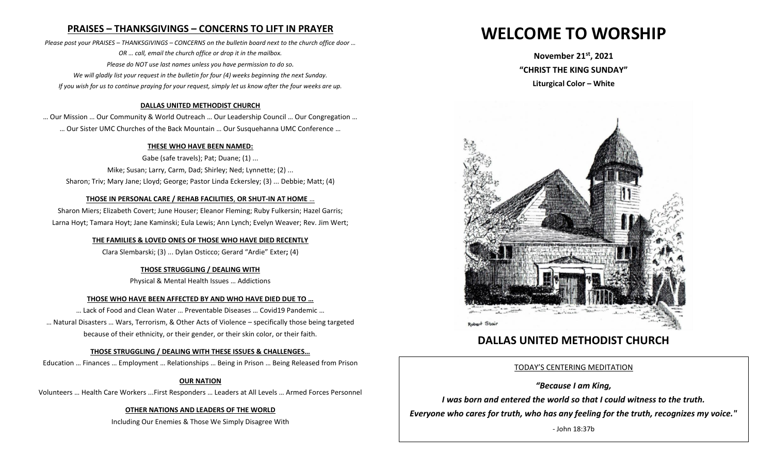# **PRAISES – THANKSGIVINGS – CONCERNS TO LIFT IN PRAYER**

*Please post your PRAISES – THANKSGIVINGS – CONCERNS on the bulletin board next to the church office door … OR … call, email the church office or drop it in the mailbox. Please do NOT use last names unless you have permission to do so. We will gladly list your request in the bulletin for four (4) weeks beginning the next Sunday. If you wish for us to continue praying for your request, simply let us know after the four weeks are up.*

#### **DALLAS UNITED METHODIST CHURCH**

… Our Mission … Our Community & World Outreach … Our Leadership Council … Our Congregation … … Our Sister UMC Churches of the Back Mountain … Our Susquehanna UMC Conference …

#### **THESE WHO HAVE BEEN NAMED:**

Gabe (safe travels); Pat; Duane; (1) ... Mike; Susan; Larry, Carm, Dad; Shirley; Ned; Lynnette; (2) ... Sharon; Triv; Mary Jane; Lloyd; George; Pastor Linda Eckersley; (3) ... Debbie; Matt; (4)

#### **THOSE IN PERSONAL CARE / REHAB FACILITIES**, **OR SHUT-IN AT HOME** …

Sharon Miers; Elizabeth Covert; June Houser; Eleanor Fleming; Ruby Fulkersin; Hazel Garris; Larna Hoyt; Tamara Hoyt; Jane Kaminski; Eula Lewis; Ann Lynch; Evelyn Weaver; Rev. Jim Wert;

#### **THE FAMILIES & LOVED ONES OF THOSE WHO HAVE DIED RECENTLY**

Clara Slembarski; (3) ... Dylan Osticco; Gerard "Ardie" Exter**;** (4)

#### **THOSE STRUGGLING / DEALING WITH**

Physical & Mental Health Issues … Addictions

#### **THOSE WHO HAVE BEEN AFFECTED BY AND WHO HAVE DIED DUE TO …**

… Lack of Food and Clean Water … Preventable Diseases … Covid19 Pandemic … … Natural Disasters … Wars, Terrorism, & Other Acts of Violence – specifically those being targeted because of their ethnicity, or their gender, or their skin color, or their faith.

#### **THOSE STRUGGLING / DEALING WITH THESE ISSUES & CHALLENGES…**

Education … Finances … Employment … Relationships … Being in Prison … Being Released from Prison

#### **OUR NATION**

Volunteers … Health Care Workers ...First Responders … Leaders at All Levels … Armed Forces Personnel

#### **OTHER NATIONS AND LEADERS OF THE WORLD**

Including Our Enemies & Those We Simply Disagree With

# **WELCOME TO WORSHIP**

**November 21st , 2021 "CHRIST THE KING SUNDAY" Liturgical Color – White** 



# **DALLAS UNITED METHODIST CHURCH**

#### TODAY'S CENTERING MEDITATION

#### *"Because I am King,*

*I was born and entered the world so that I could witness to the truth.* 

*Everyone who cares for truth, who has any feeling for the truth, recognizes my voice."* 

- John 18:37b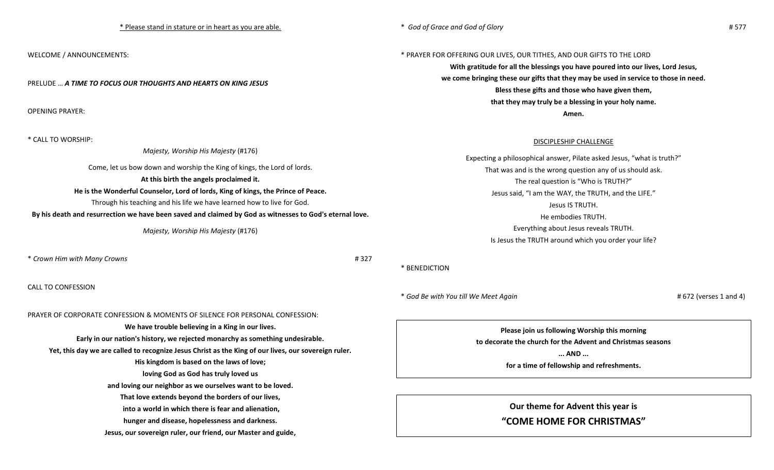WELCOME / ANNOUNCEMENTS:

PRELUDE … *A TIME TO FOCUS OUR THOUGHTS AND HEARTS ON KING JESUS*

OPENING PRAYER:

\* CALL TO WORSHIP:

*Majesty, Worship His Majesty* (#176)

Come, let us bow down and worship the King of kings, the Lord of lords.

#### **At this birth the angels proclaimed it.**

#### **He is the Wonderful Counselor, Lord of lords, King of kings, the Prince of Peace.**

Through his teaching and his life we have learned how to live for God.

By his death and resurrection we have been saved and claimed by God as witnesses to God's eternal love.

*Majesty, Worship His Majesty* (#176)

\* *Crown Him with Many Crowns* # 327

CALL TO CONFESSION

### PRAYER OF CORPORATE CONFESSION & MOMENTS OF SILENCE FOR PERSONAL CONFESSION:

**We have trouble believing in a King in our lives. Early in our nation's history, we rejected monarchy as something undesirable. Yet, this day we are called to recognize Jesus Christ as the King of our lives, our sovereign ruler. His kingdom is based on the laws of love; loving God as God has truly loved us and loving our neighbor as we ourselves want to be loved. That love extends beyond the borders of our lives, into a world in which there is fear and alienation, hunger and disease, hopelessness and darkness. Jesus, our sovereign ruler, our friend, our Master and guide,**

#### \* PRAYER FOR OFFERING OUR LIVES, OUR TITHES, AND OUR GIFTS TO THE LORD

**With gratitude for all the blessings you have poured into our lives, Lord Jesus, we come bringing these our gifts that they may be used in service to those in need. Bless these gifts and those who have given them, that they may truly be a blessing in your holy name. Amen.**

#### DISCIPLESHIP CHALLENGE

Expecting a philosophical answer, Pilate asked Jesus, "what is truth?" That was and is the wrong question any of us should ask. The real question is "Who is TRUTH?" Jesus said, "I am the WAY, the TRUTH, and the LIFE." Jesus IS TRUTH. He embodies TRUTH. Everything about Jesus reveals TRUTH. Is Jesus the TRUTH around which you order your life?

#### \* BENEDICTION

\* *God Be with You till We Meet Again* # 672 (verses 1 and 4)

**Please join us following Worship this morning to decorate the church for the Advent and Christmas seasons ... AND ...**

**for a time of fellowship and refreshments.**

**Our theme for Advent this year is** 

## **"COME HOME FOR CHRISTMAS"**